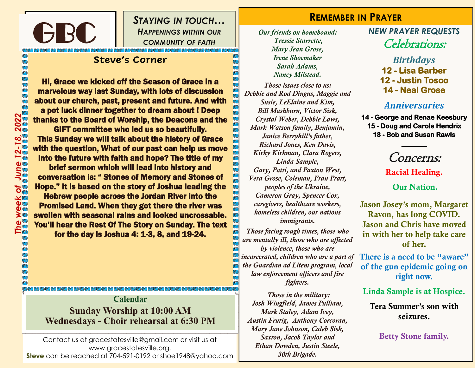*STAYING IN TOUCH… HAPPENINGS WITHIN OUR COMMUNITY OF FAITH*

#### **Steve's Corner**

GBC

**DEOEOEO**<br>C

Hi, Grace we kicked off the Season of Grace in a marvelous way last Sunday, with lots of discussion about our church, past, present and future. And with a pot luck dinner together to dream about ! Deep thanks to the Board of Worship, the Deacons and the

GIFT committee who led us so beautifully. This Sunday we will talk about the history of Grace with the question, What of our past can help us move into the future with faith and hope? The title of my

brief sermon which will lead into history and conversation is: " Stones of Memory and Stones of Hope." It is based on the story of Joshua leading the

Hebrew people across the Jordan River into the Promised Land. When they got there the river was swollen with seasonal rains and looked uncrossable. You'll hear the Rest Of The Story on Sunday. The text for the day is Joshua 4: 1-3, 8, and 19-24.

**Calendar Sunday Worship at 10:00 AM Wednesdays - Choir rehearsal at 6:30 PM**

Contact us at gracestatesville@gmail.com or visit us at www.gracestatesville.org. **Steve** can be reached at 704-591-0192 or shoe1948@yahoo.com

#### **REMEMBER IN PRAYER**

*Our friends on homebound: Tressie Starrette, Mary Jean Grose, Irene Shoemaker Sarah Adams, Nancy Milstead.*

*Those issues close to us: Debbie and Rod Dingus, Maggie and Susie, LeElaine and Kim, Bill Mashburn, Victor Sisk, Crystal Weber, Debbie Laws, Mark Watson family, Benjamin, Janice Berryhill's father, Richard Jones, Ken Davis, Kirky Kirkman, Clara Rogers, Linda Sample, Gary, Patti, and Paxton West, Vera Grose, Coleman, Fran Pratt, peoples of the Ukraine, Cameron Gray, Spencer Cox, caregivers, healthcare workers, homeless children, our nations immigrants.* 

*Those facing tough times, those who are mentally ill, those who are affected by violence, those who are incarcerated, children who are a part of the Guardian ad Litem program, local law enforcement officers and fire fighters.*

*Those in the military: Josh Wingfield, James Pulliam, Mark Staley, Adam Ivey, Austin Frutig, Anthony Corcoran, Mary Jane Johnson, Caleb Sisk, Saxton, Jacob Taylor and Ethan Dowden, Justin Steele, 30th Brigade.*

#### *NEW PRAYER REQUESTS* Celebrations:

*Birthdays* **12 - Lisa Barber 12 - Justin Tosco** 

**14 - Neal Grose** 

#### *Anniversaries*

**14 - George and Renae Keesbury 15 - Doug and Carole Hendrix 18 - Bob and Susan Rawls** 

# Concerns:

**\_\_\_\_\_\_\_** 

Racial Healing.

#### Our Nation.

Jason Josey's mom, Margaret Ravon, has long COVID. Jason and Chris have moved in with her to help take care of her.

There is a need to be "aware" of the gun epidemic going on right now.

Linda Sample is at Hospice.

Tera Summer's son with seizures.

Betty Stone family.